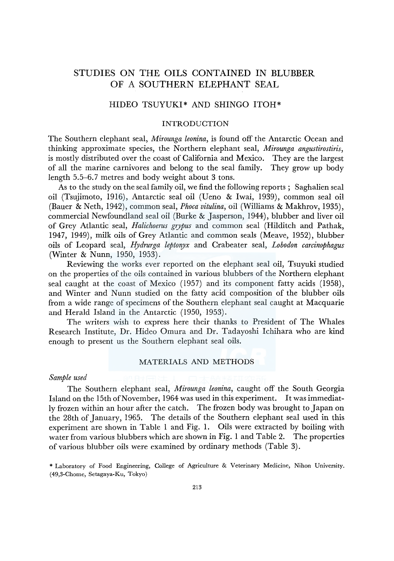# STUDIES ON THE OILS CONTAINED IN BLUBBER OF A SOUTHERN ELEPHANT SEAL

# HIDEO TSUYUKI\* AND SHINGO ITOH\*

### INTRODUCTION

The Southern elephant seal, *Mirounga leonina,* is found off the Antarctic Ocean and thinking approximate species, the Northern elephant seal, *Mirounga angustirostiris,*  is mostly distributed over the coast of California and Mexico. They are the largest of all the marine carnivores and belong to the seal family. They grow up body length 5.5-6. 7 metres and body weight about 3 tons.

As to the study on the seal family oil, we find the following reports ; Saghalien seal oil (Tsujimoto, 1916), Antarctic seal oil (Ueno & Iwai, 1939), common seal oil (Bauer & Neth, 1942), common seal, *Phoca vitulina,* oil (Williams & Makhrov, 1935), commercial Newfoundland seal oil (Burke & Jasperson, 1944), blubber and liver oil of Grey Atlantic seal, *Halichoerus grypus* and common seal (Hilditch and Pathak, 1947, 1949), milk oils of Grey Atlantic and common seals (Meave, 1952), blubber oils of Leopard seal, *Hydrurga leptonyx* and Crabeater seal, *Lobodon carcinophagus*  (Winter & Nunn, 1950, 1953).

Reviewing the works ever reported on the elephant seal oil, Tsuyuki studied on the properties of the oils contained in various blubbers of the Northern elephant seal caught at the coast of Mexico (1957) and its component fatty acids (1958), and Winter and Nunn studied on the fatty acid composition of the blubber oils from a wide range of specimens of the Southern elephant seal caught at Macquarie and Herald Island in the Antarctic (1950, 1953).

The writers wish to express here their thanks to President of The Whales Research Institute, Dr. Hideo Omura and Dr. Tadayoshi Ichihara who are kind enough to present us the Southern elephant seal oils.

### MATERIALS AND METHODS

### *Sample used*

The Southern elephant seal, *Mirounga leonina,* caught off the South Georgia Island on the 15th of November, 1964 was used in this experiment. It was immediatly frozen within an hour after the catch. The frozen body was brought to Japan on the 28th of January, 1965. The details of the Southern elephant seal used in this experiment are shown in Table 1 and Fig. 1. Oils were extracted by boiling with water from various blubbers which are shown in Fig. 1 and Table 2. The properties of various blubber oils were examined by ordinary methods (Table 3).

<sup>\*</sup> Laboratory of Food Engineering, College of Agriculture & Veterinary Medicine, Nihon University. (49,3-Chome, Setagaya-Ku, Tokyo)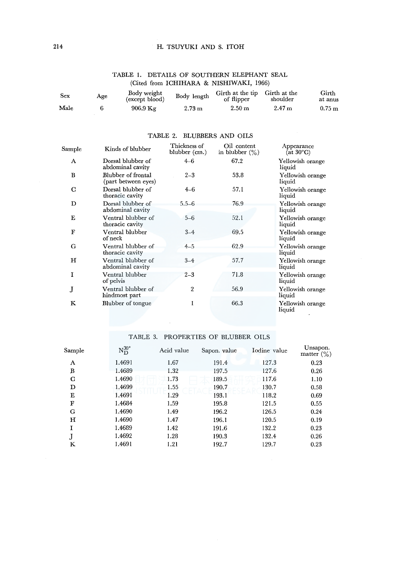### H. TSUYUKI AND S. ITOH

| Sex  | Age | Body weight<br>(except blood) | Body length      | Girth at the tip Girth at the<br>of flipper | shoulder          | Girth<br>at anus |
|------|-----|-------------------------------|------------------|---------------------------------------------|-------------------|------------------|
| Male |     | $906.9$ Kg                    | $2.73 \text{ m}$ | 2.50 <sub>m</sub>                           | 2.47 <sub>m</sub> | $0.75 \text{ m}$ |

### TABLE I. DETAILS OF SOUTHERN ELEPHANT SEAL (Cited from ICHIHARA & NISHIWAKI, 1966)

| Sample       | Kinds of blubber                          | Thickness of<br>blubber (cm.) | Oil content<br>in blubber $(\%)$ | Appearance<br>(at $30^{\circ}$ C) |
|--------------|-------------------------------------------|-------------------------------|----------------------------------|-----------------------------------|
| A            | Dorsal blubber of<br>abdominal cavity     | $4 - 6$                       | 67.2                             | Yellowish orange<br>liquid        |
| B            | Blubber of frontal<br>(part between eyes) | $2 - 3$                       | 53.8                             | Yellowish orange<br>liquid        |
| C            | Dorsal blubber of<br>thoracic cavity      | $4 - 6$                       | 57.1                             | Yellowish orange<br>liquid        |
| D            | Dorsal blubber of<br>abdominal cavity     | $5.5 - 6$                     | 76.9                             | Yellowish orange<br>liquid        |
| Е            | Ventral blubber of<br>thoracic cavity     | $5 - 6$                       | 52.1                             | Yellowish orange<br>liquid        |
| $\mathbf{F}$ | Ventral blubber<br>of neck                | $3 - 4$                       | 69.5                             | Yellowish orange<br>liquid        |
| G            | Ventral blubber of<br>thoracic cavity     | $4 - 5$                       | 62.9                             | Yellowish orange<br>liquid        |
| н            | Ventral blubber of<br>abdominal cavity    | $3 - 4$                       | 57.7                             | Yellowish orange<br>liquid        |
| Ĩ            | Ventral blubber<br>of pelvis              | $2 - 3$                       | 71.8                             | Yellowish orange<br>liquid        |
| ${\bf J}$    | Ventral blubber of<br>hindmost part       | $\overline{2}$                | 56.9                             | Yellowish orange<br>liquid        |
| K            | Blubber of tongue                         |                               | 66.3                             | Yellowish orange<br>liquid        |

### TABLE 2. BLUBBERS AND OILS

## TABLE 3. PROPERTIES OF BLUBBER OILS

| $\operatorname{Sample}$ | $\mathrm{N}_{\mathrm{D}}^{30^\circ}$ | Acid value | Sapon. value | Iodine value | Unsapon.<br>matter $\binom{0}{0}$ |
|-------------------------|--------------------------------------|------------|--------------|--------------|-----------------------------------|
| A                       | 1.4691                               | 1.67       | 191.4        | 127.3        | 0.23                              |
| B                       | 1.4689                               | 1.32       | 197.5        | 127.6        | 0.26                              |
| $\mathbf C$             | 1.4690                               | 1.73       | 189.5        | 117.6        | 1.10                              |
| D                       | 1.4699                               | 1.55       | 190.7        | 130.7        | 0.58                              |
| Е                       | 1.4691                               | 1.29       | 193.1        | 118.2        | 0.69                              |
| F                       | 1.4684                               | 1.59       | 195.8        | 121.5        | 0.55                              |
| G                       | 1.4690                               | 1.49       | 196.2        | 126.5        | 0.24                              |
| H                       | 1.4690                               | 1.47       | 196.1        | 120.5        | 0.19                              |
| L                       | 1.4689                               | 1.42       | 191.6        | 132.2        | 0.23                              |
|                         | 1.4692                               | 1.28       | 190.3        | 132.4        | 0.26                              |
| K                       | 1.4691                               | 1.21       | 192.7        | 129.7        | 0.23                              |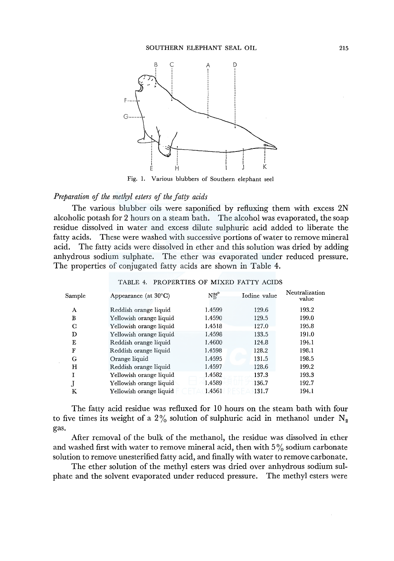

Fig. I. Various blubbers of Southern elephant see!

# *Preparation of the methyl esters of the fatty acids*

The various blubber oils were saponified by refluxing them with excess 2N alcoholic potash for 2 hours on a steam bath. The alcohol was evaporated, the soap residue dissolved in water and excess dilute sulphuric acid added to liberate the fatty acids. These were washed with successive portions of water to remove mineral acid. The fatty acids were dissolved in ether and this solution was dried by adding anhydrous sodium sulphate. The ether was evaporated under reduced pressure. The properties of conjugated fatty acids are shown in Table 4.

| $\operatorname{Sample}$ | Appearance (at $30^{\circ}$ C) | $N_D^{80^{\circ}}$ | Iodine value | Neutralization<br>value |
|-------------------------|--------------------------------|--------------------|--------------|-------------------------|
| А                       | Reddish orange liquid          | 1.4599             | 129.6        | 193.2                   |
| в                       | Yellowish orange liquid        | 1.4590             | 129.5        | 199.0                   |
| C                       | Yellowish orange liquid        | 1.4518             | 127.0        | 195.8                   |
| D                       | Yellowish orange liquid        | 1.4598             | 133.5        | 191.0                   |
| Е                       | Reddish orange liquid          | 1.4600             | 124.8        | 194.1                   |
| F                       | Reddish orange liquid          | 1.4598             | 128.2        | 198.1                   |
| G                       | Orange liquid                  | 1.4595             | 131.5        | 198.5                   |
| н                       | Reddish orange liquid          | 1.4597             | 128.6        | 199.2                   |
|                         | Yellowish orange liquid        | 1.4582             | 137.3        | 193.3                   |
|                         | Yellowish orange liquid        | 1.4589             | 136.7        | 192.7                   |
| Κ                       | Yellowish orange liquid        | 1.4561             | 131.7        | 194.1                   |

TABLE 4. PROPERTIES OF MIXED FATTY ACIDS

The fatty acid residue was refluxed for 10 hours on the steam bath with four to five times its weight of a 2% solution of sulphuric acid in methanol under  $N_2$ gas.

After removal of the bulk of the methanol, the residue was dissolved in ether and washed first with water to remove mineral acid, then with  $5\%$  sodium carbonate solution to remove unesterified fatty acid, and finally with water to remove carbonate.

The ether solution of the methyl esters was dried over anhydrous sodium sulphate and the solvent evaporated under reduced pressure. The methyl esters were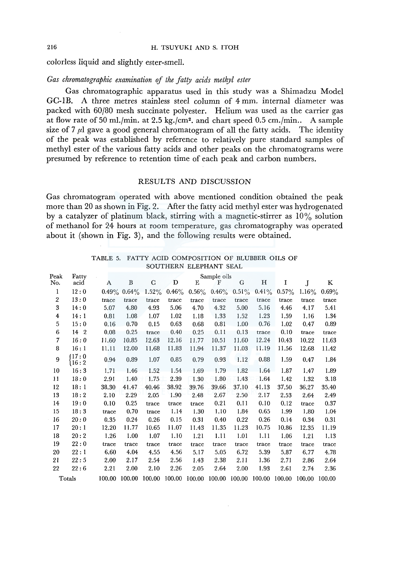colorless liquid and slightly ester-smell.

### Gas chromatographic examination of the fatty acids methyl ester

Gas chromatographic apparatus used in this study was a Shimadzu Model GC-IB. A three metres stainless steel column of 4 mm. internal diameter was packed with 60/80 mesh succinate polyester. Helium was used as the carrier gas at flow rate of 50 ml./min. at  $2.5 \text{ kg.}/\text{cm}^2$ . and chart speed 0.5 cm./min.. A sample size of 7  $\mu$ l gave a good general chromatogram of all the fatty acids. The identity of the peak was established by reference to relatively pure standard samples of methyl ester of the various fatty acids and other peaks on the chromatograms were presumed by reference to retention time of each peak and carbon numbers.

### RESULTS AND DISCUSSION

Gas chromatogram operated with above mentioned condition obtained the peak more than 20 as shown in Fig. 2. After the fatty acid methyl ester was hydrogenated by a catalyzer of platinum black, stirring with a magnetic-stirrer as  $10\%$  solution of methanol for 24 hours at room temperature, gas chromatography was operated about it (shown in Fig. 3), and the following results were obtained.

| Peak             | Fatty        |          |          |             |          |          | Sample oils |          |          |          |          |        |
|------------------|--------------|----------|----------|-------------|----------|----------|-------------|----------|----------|----------|----------|--------|
| No.              | acid         | A        | B        | $\mathbf C$ | D        | E        | F           | G        | н        | I        | J        | K      |
| 1                | 12:0         | $0.49\%$ | $0.64\%$ | $1.52\%$    | $0.46\%$ | $0.56\%$ | $0.46\%$    | $0.51\%$ | $0.41\%$ | $0.57\%$ | $1.16\%$ | 0.69%  |
| $\overline{2}$   | 13:0         | trace    | trace    | trace       | trace    | trace    | trace       | trace    | trace    | trace    | trace    | trace  |
| 3                | 14:0         | 5.07     | 4.80     | 4.93        | 5.06     | 4.70     | 4.32        | 5.00     | 5.16     | 4.46     | 4.17     | 5.41   |
| $\boldsymbol{4}$ | 14:1         | 0.81     | 1.08     | 1.07        | 1.02     | 1.18     | 1.33        | 1.52     | 1.23     | 1.59     | 1.16     | 1.34   |
| 5                | 15:0         | 0.16     | 0.70     | 0.15        | 0.63     | 0.68     | 0.81        | 1.00     | 0.76     | 1.02     | 0.47     | 0.89   |
| 6                | 14 2         | 0.08     | 0.25     | trace       | 0.40     | 0.25     | 0.11        | 0.13     | trace    | 0.10     | trace    | trace  |
| 7                | 16:0         | 11.60    | 10.85    | 12.63       | 12.16    | 11.77    | 10.51       | 11.60    | 12.24    | 10.43    | 10.22    | 11.63  |
| 8                | 16:1         | 11.11    | 12.00    | 11.68       | 11.83    | 11.94    | 11.37       | 11.03    | 11.19    | 11.56    | 12.68    | 11.42  |
| 9                | 17:0<br>16:2 | 0.94     | 0.89     | 1.07        | 0.85     | 0.79     | 0.93        | 1.12     | 0.88     | 1,59     | 0.47     | 1.84   |
| 10               | 16:3         | 1.71     | 1.46     | 1.52        | 1.54     | 1.69     | 1.79        | 1.82     | 1.64     | 1.87     | 1.47     | 1.89   |
| 11               | 18:0         | 2.91     | 1.40     | 1.75        | 2.39     | 1.30     | 1.80        | 1.43     | 1.64     | 1.42     | 1.32     | 3.18   |
| 12               | 18:1         | 38.30    | 41.47    | 40.46       | 38.92    | 39.76    | 39.66       | 37.10    | 41.13    | 37.50    | 36.27    | 35.40  |
| 13               | 18:2         | 2.10     | 2.29     | 2.05        | 1.90     | 2.48     | 2.67        | 2.50     | 2.17     | 2.53     | 2.64     | 2.49   |
| 14               | 19:0         | 0.10     | 0.25     | trace       | trace    | trace    | 0.21        | 0.11     | 0.10     | 0.12     | trace    | 0.37   |
| 15               | 18:3         | trace    | 0.70     | trace       | 1.14     | 1.30     | 1.10        | 1.84     | 0.65     | 1.99     | 1.80     | 1.04   |
| 16               | 20:0         | 0.35     | 0.24     | 0.26        | 0.15     | 0.31     | 0.40        | 0.22     | 0.26     | 0.14     | 0.34     | 0.31   |
| 17               | 20:1         | 12.20    | 11.77    | 10.65       | 11.07    | 11.43    | 11.35       | 11.23    | 10.75    | 10.86    | 12.35    | 11.19  |
| 18               | 20:2         | 1.26     | 1.00     | 1.07        | 1.10     | 1.21     | 1.11        | 1.01     | 1.11     | 1.06     | 1.21     | 1.13   |
| 19               | 22:0         | trace    | trace    | trace       | trace    | trace    | trace       | trace    | trace    | trace    | trace    | trace  |
| 20               | 22:1         | 6.60     | 4,04     | 4.55        | 4.56     | 5.17     | 5.05        | 6.72     | 5.39     | 5.87     | 6.77     | 4.78   |
| 21               | 22:5         | 2.00     | 2.17     | 2.54        | 2.56     | 1.43     | 2.38        | 2.11     | 1.36     | 2.71     | 2.86     | 2.64   |
| 22               | 22:6         | 2.21     | 2.00     | 2.10        | 2.26     | 2.05     | 2.64        | 2.00     | 1.93     | 2.61     | 2.74     | 2.36   |
|                  | Totals       | 100.00   | 100.00   | 100.00      | 100.00   | 100.00   | 100.00      | 100.00   | 100.00   | 100.00   | 100.00   | 100.00 |

TABLE 5. FATTY ACID COMPOSITION OF BLUBBER OILS OF SOUTHERN ELEPHANT SEAL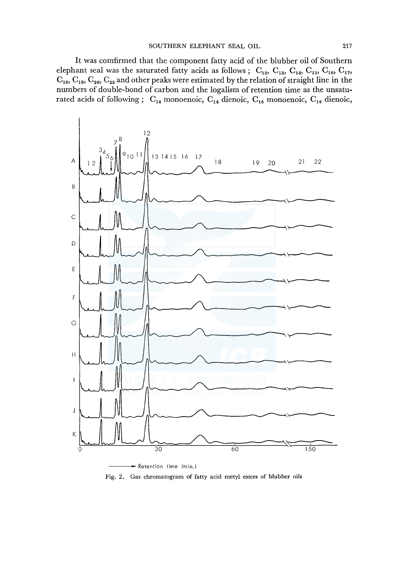It was comfirmed that the component fatty acid of the blubber oil of Southern elephant seal was the saturated fatty acids as follows ;  $C_{12}$ ,  $C_{13}$ ,  $C_{14}$ ,  $C_{15}$ ,  $C_{16}$ ,  $C_{17}$ ,  $C_{18}$ ,  $C_{19}$ ,  $C_{20}$ ,  $C_{22}$  and other peaks were estimated by the relation of straight line in the numbers of double-bond of carbon and the logalism of retention time as the unsaturated acids of following ;  $C_{14}$  monoenoic,  $C_{14}$  dienoic,  $C_{16}$  monoenoic,  $C_{16}$  dienoic,



Fig. 2. Gas chromatogram of fatty acid metyl esters of blubber oils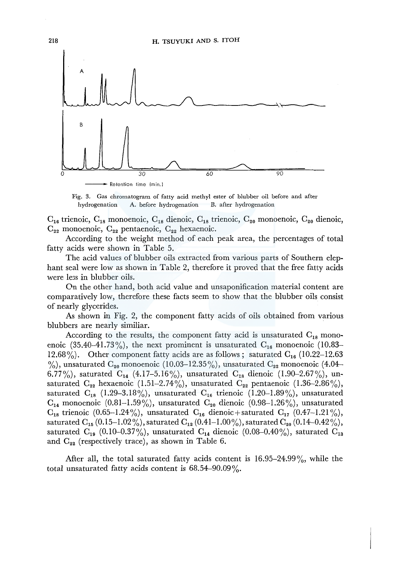

Fig. 3. Gas chromatogram of fatty acid methyl ester of blubber oil before and after hydrogenation A. before hydrogenation B. after hydrogenation

 $C_{16}$  trienoic,  $C_{18}$  monoenoic,  $C_{18}$  dienoic,  $C_{18}$  trienoic,  $C_{20}$  monoenoic,  $C_{20}$  dienoic,  $C_{22}$  monoenoic,  $C_{22}$  pentaenoic,  $C_{22}$  hexaenoic.

According to the weight method of each peak area, the percentages of total fatty acids were shown in Table 5.

The acid values of blubber oils extracted from various parts of Southern elephant seal were low as shown in Table 2, therefore it proved that the free fatty acids were le3s in blubber oils.

On the other hand, both acid value and unsaponification material content are comparatively low, therefore these facts seem to show that the blubber oils consist of nearly glycerides.

As shown in Fig. 2, the component fatty acids of oils obtained from various blubbers are nearly similiar.

According to the results, the component fatty acid is unsaturated  $C_{18}$  monoenoic (35.40–41.73%), the next prominent is unsaturated  $C_{16}$  monoenoic (10.83– 12.68%). Other component fatty acids are as follows; saturated  $C_{16}$  (10.22–12.63)  $\%$ ), unsaturated C<sub>20</sub> monoenoic (10.03–12.35%), unsaturated C<sub>22</sub> monoenoic (4.04– 6.77%), saturated  $C_{14}$  (4.17-5.16%), unsaturated  $C_{18}$  dienoic (1.90-2.67%), unsaturated  $C_{22}$  hexaenoic (1.51–2.74%), unsaturated  $C_{22}$  pentaenoic (1.36–2.86%), saturated  $C_{18}$  (1.29–3.18%), unsaturated  $C_{16}$  trienoic (1.20–1.89%), unsaturated  $C_{14}$  monoenoic (0.81–1.59%), unsaturated  $C_{20}$  dienoic (0.98–1.26%), unsaturated  $C_{18}$  trienoic (0.65-1.24%), unsaturated  $C_{16}$  dienoic + saturated  $C_{17}$  (0.47-1.21%), saturated C<sub>15</sub> (0.15-1.02%), saturated C<sub>12</sub> (0.41-1.00%), saturated C<sub>20</sub> (0.14-0.42%), saturated  $C_{19}$  (0.10-0.37%), unsaturated  $C_{14}$  dienoic (0.08-0.40%), saturated  $C_{13}$ and  $C_{22}$  (respectively trace), as shown in Table 6.

After all, the total saturated fatty acids content is  $16.95-24.99\%$ , while the total unsaturated fatty acids content is  $68.54-90.09\%$ .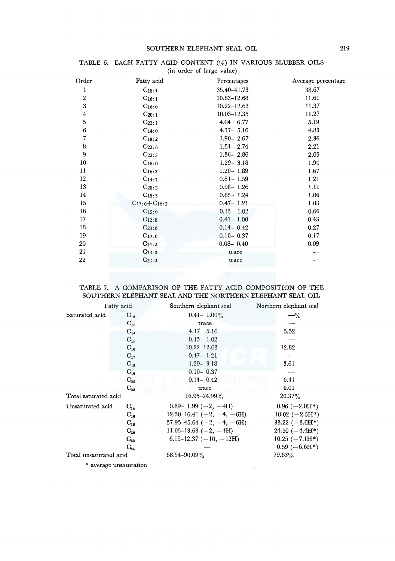#### SOUTHERN ELEPHANT SEAL OIL 219

| Order            | Fatty acid            | Percentages     | Average percentage |
|------------------|-----------------------|-----------------|--------------------|
| 1                | $C_{18:1}$            | 35.40-41.73     | 38.67              |
| $\boldsymbol{2}$ | $C_{16:1}$            | 10.83-12.68     | 11.61              |
| 3                | $C_{16:0}$            | $10.22 - 12.63$ | 11.37              |
| $\bf 4$          | $C_{20:1}$            | $10.03 - 12.35$ | 11.27              |
| 5                | $C_{22:1}$            | $4.04 - 6.77$   | 5.19               |
| 6                | $C_{14:0}$            | $4.17 - 5.16$   | 4.83               |
| 7                | $C_{18:2}$            | $1.90 - 2.67$   | 2.36               |
| 8                | $C_{22:6}$            | $1.51 - 2.74$   | 2.21               |
| 9                | $C_{22:5}$            | $1.36 - 2.86$   | 2.05               |
| 10               | $C_{18:0}$            | $1.29 - 3.18$   | 1.94               |
| 11               | $C_{16:3}$            | $1.20 - 1.89$   | 1.67               |
| 12               | $C_{14:1}$            | $0.81 - 1.59$   | 1.21               |
| 13               | $C_{20:2}$            | $0.98 - 1.26$   | 1.11               |
| 14               | $C_{18:3}$            | $0.65 - 1.24$   | 1.06               |
| 15               | $C_{17:0} + C_{16:2}$ | $0.47 - 1.21$   | 1.03               |
| 16               | $C_{15:0}$            | $0.15 - 1.02$   | 0.66               |
| 17               | $C_{12:0}$            | $0.41 - 1.00$   | 0.43               |
| 18               | $C_{20:0}$            | $0.14 - 0.42$   | 0.27               |
| 19               | $C_{19:0}$            | $0.10 - 0.37$   | 0.17               |
| 20               | $C_{14:2}$            | $0.08 - 0.40$   | 0.09               |
| 21               | $C_{13:0}$            | trace           |                    |
| 22               | $C_{22:0}$            | trace           |                    |

### TABLE 6. EACH FATTY ACID CONTENT(%) IN VARIOUS BLUBBER OILS (in order of large value)

### TABLE 7. A COMPARISON OF THE FATTY ACID COMPOSITION OF THE SOUTHERN ELEPHANT SEAL AND THE NORTHERN ELEPHANT SEAL OIL

 $\mathcal{A}$  and  $\mathcal{A}$  and  $\mathcal{A}$ 

| Fatty acid             |                   | Southern elephant seal            | Northern elephant seal           |  |
|------------------------|-------------------|-----------------------------------|----------------------------------|--|
| Saturated acid         | $\mathrm{C_{12}}$ | $0.41 - 1.00\%$                   | $- \frac{9}{6}$                  |  |
|                        | $\mathrm{C_{13}}$ | trace                             |                                  |  |
|                        | $C_{14}$          | $4.17 - 5.16$                     | 3.52                             |  |
|                        | $C_{15}$          | $0.15 - 1.02$                     |                                  |  |
|                        | $C_{16}$          | $10.22 - 12.63$                   | 12.82                            |  |
|                        | $C_{17}$          | $0.47 - 1.21$                     |                                  |  |
|                        | $\mathrm{C_{18}}$ | $1.29 - 3.18$                     | 3.61                             |  |
|                        | $C_{19}$          | $0.10 - 0.37$                     |                                  |  |
|                        | $C_{20}$          | $0.14 - 0.42$                     | 0.41                             |  |
|                        | $C_{22}$          | trace                             | 0.01                             |  |
| Total saturated acid   |                   | 16.95-24.99%                      | $20.37\%$                        |  |
| Unsaturated acid       | $\rm{C_{14}}$     | $0.89 - 1.99$ ( $-2$ , $-4H$ )    | $0.96$ ( $-2.0$ H <sup>*</sup> ) |  |
|                        | $C_{16}$          | $12.50-16.41$ (-2, -4, -6H)       | $10.02 (-2.5H*)$                 |  |
|                        | $C_{18}$          | $37.95 - 45.64$ ( $-2, -4, -6$ H) | 33.22 $(-3.0H^*)$                |  |
|                        | $C_{20}$          | $11.05 - 13.68$ ( $-2$ , $-4H$ )  | $24.50(-4.4H*)$                  |  |
|                        | $C_{22}$          | 6.15–12.37 $(-10, -12H)$          | $10.25 (-7.1H*)$                 |  |
|                        | $C_{24}$          |                                   | $0.59(-6.6H*)$                   |  |
| Total unsaturated acid |                   | $68.54 - 90.09\%$                 | $79.63\%$                        |  |

\*average unsaturation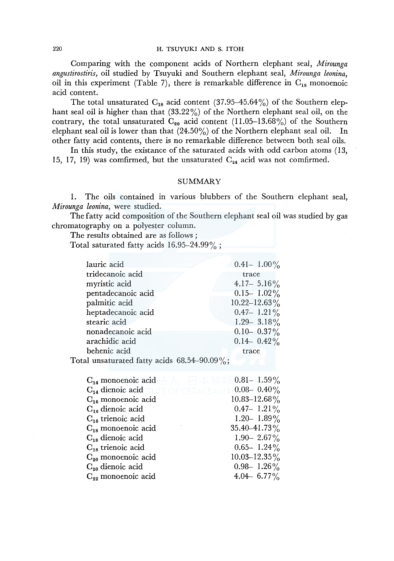Comparing with the component acids of Northern elephant seal, *Mirounga angustirostiris,* oil studied by Tsuyuki and Southern elephant seal, *Mirounga leonina,*  oil in this experiment (Table 7), there is remarkable difference in  $C_{18}$  monoenoic acid content.

The total unsaturated  $C_{18}$  acid content (37.95–45.64%) of the Southern elephant seal oil is higher than that  $(33.22\%)$  of the Northern elephant seal oil, on the contrary, the total unsaturated  $C_{20}$  acid content (11.05-13.68%) of the Southern elephant seal oil is lower than that (24.50%) of the Northern elephant seal oil. In other fatty acid contents, there is no remarkable difference between both seal oils.

In this study, the existance of the saturated acids with odd carbon atoms (13, 15, 17, 19) was comfirmed, but the unsaturated  $C_{24}$  acid was not comfirmed.

#### SUMMARY

1. The oils contained in various blubbers of the Southern elephant seal, *Mirounga leonina,* were studied.

The fatty acid composition of the Southern elephant seal oil was studied by gas chromatography on a polyester column.

The results obtained are as follows ;

Total saturated fatty acids 16.95-24.99%;

| lauric acid                                        | $0.41 - 1.00\%$   |
|----------------------------------------------------|-------------------|
| tridecanoic acid                                   | trace             |
| myristic acid                                      | 4.17 - 5.16 $\%$  |
| pentadecanoic acid                                 | $0.15 - 1.02\%$   |
| palmitic acid                                      | $10.22 - 12.63\%$ |
| heptadecanoic acid                                 | $0.47 - 1.21\%$   |
| stearic acid                                       | 1.29 - 3.18%      |
| nonadecanoic acid                                  | $0.10 - 0.37\%$   |
| arachidic acid                                     | $0.14 - 0.42\%$   |
| behenic acid                                       | trace             |
| $\alpha$ tal unsaturated fatty acids 68.54–90.09%. |                   |

Total uns

| $0.81 - 1.59\%$   |
|-------------------|
| $0.08 - 0.40\%$   |
| $10.83 - 12.68\%$ |
| $0.47 - 1.21\%$   |
| $1.20 - 1.89\%$   |
| $35.40 - 41.73\%$ |
| 1.90 - 2.67%      |
| $0.65 - 1.24\%$   |
| $10.03 - 12.35\%$ |
| $0.98 - 1.26\%$   |
| 4.04 6.77%        |
|                   |